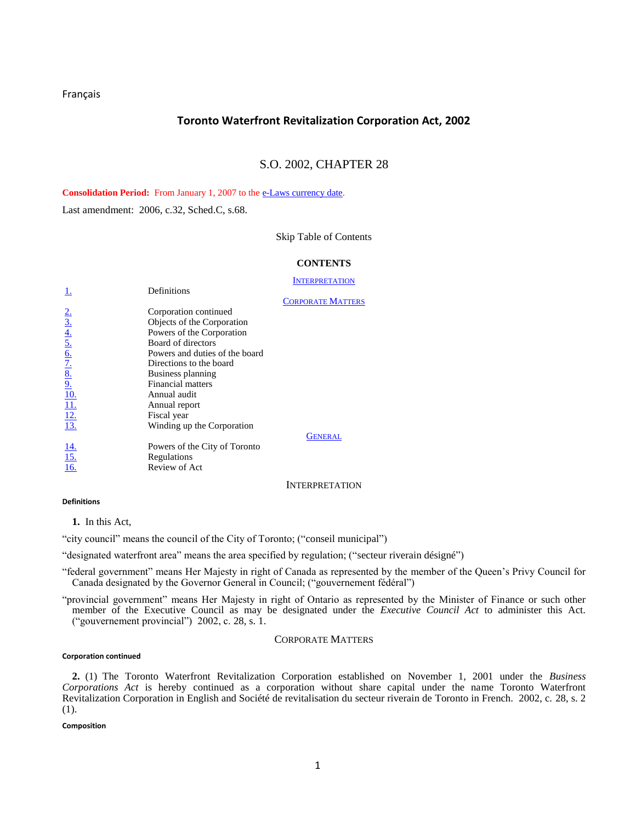<span id="page-0-4"></span>[Français](http://www.e-laws.gov.on.ca/html/statutes/french/elaws_statutes_02t28_f.htm)

# **Toronto Waterfront Revitalization Corporation Act, 2002**

# S.O. 2002, CHAPTER 28

Consolidation Period: From January 1, 2007 to th[e e-Laws currency date.](http://www.e-laws.gov.on.ca/navigation?file=currencyDates&lang=en)

Last amendment: 2006, c.32, Sched.C, s.68.

## [Skip Table of Contents](#page-0-0)

## **CONTENTS**

## **I[NTERPRETATION](#page-0-0)**

|                                                                                                                                  | Definitions                    |                          |
|----------------------------------------------------------------------------------------------------------------------------------|--------------------------------|--------------------------|
|                                                                                                                                  |                                | <b>CORPORATE MATTERS</b> |
|                                                                                                                                  | Corporation continued          |                          |
|                                                                                                                                  | Objects of the Corporation     |                          |
|                                                                                                                                  | Powers of the Corporation      |                          |
|                                                                                                                                  | Board of directors             |                          |
| $\frac{2.3}{3.4}$<br>$\frac{4.5}{5.6}$<br>$\frac{6.7}{2.8}$<br>$\frac{8.9}{2.10}$<br>$\frac{10.11}{11.2}$<br>$\frac{12.7}{13.2}$ | Powers and duties of the board |                          |
|                                                                                                                                  | Directions to the board        |                          |
|                                                                                                                                  | Business planning              |                          |
|                                                                                                                                  | <b>Financial matters</b>       |                          |
|                                                                                                                                  | Annual audit                   |                          |
|                                                                                                                                  | Annual report                  |                          |
|                                                                                                                                  | Fiscal year                    |                          |
|                                                                                                                                  | Winding up the Corporation     |                          |
|                                                                                                                                  |                                | GENERAL                  |
| $\frac{14}{15}$<br>$\frac{16}{16}$                                                                                               | Powers of the City of Toronto  |                          |
|                                                                                                                                  | Regulations                    |                          |
|                                                                                                                                  | Review of Act                  |                          |

INTERPRETATION

## <span id="page-0-0"></span>**Definitions**

<span id="page-0-1"></span>**[1.](http://www.e-laws.gov.on.ca/html/statutes/french/elaws_statutes_02t28_f.htm#s1)** In this Act,

"city council" means the council of the City of Toronto; ("conseil municipal")

"designated waterfront area" means the area specified by regulation; ("secteur riverain désigné")

"federal government" means Her Majesty in right of Canada as represented by the member of the Queen's Privy Council for Canada designated by the Governor General in Council; ("gouvernement fédéral")

"provincial government" means Her Majesty in right of Ontario as represented by the Minister of Finance or such other member of the Executive Council as may be designated under the *Executive Council Act* to administer this Act. ("gouvernement provincial") 2002, c. 28, s. 1.

## CORPORATE MATTERS

### <span id="page-0-2"></span>**Corporation continued**

<span id="page-0-3"></span>**2.** [\(1\)](http://www.e-laws.gov.on.ca/html/statutes/french/elaws_statutes_02t28_f.htm#s2s1) The Toronto Waterfront Revitalization Corporation established on November 1, 2001 under the *Business Corporations Act* is hereby continued as a corporation without share capital under the name Toronto Waterfront Revitalization Corporation in English and Société de revitalisation du secteur riverain de Toronto in French. 2002, c. 28, s. 2 (1).

## **Composition**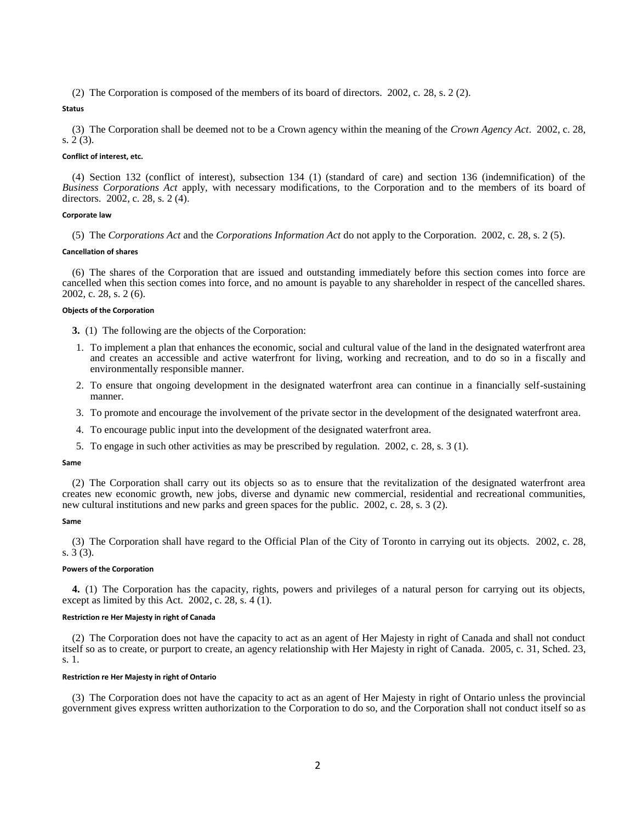[\(2\)](http://www.e-laws.gov.on.ca/html/statutes/french/elaws_statutes_02t28_f.htm#s2s2) The Corporation is composed of the members of its board of directors. 2002, c. 28, s. 2 (2).

**Status**

[\(3\)](http://www.e-laws.gov.on.ca/html/statutes/french/elaws_statutes_02t28_f.htm#s2s3) The Corporation shall be deemed not to be a Crown agency within the meaning of the *Crown Agency Act*. 2002, c. 28, s. 2 (3).

## **Conflict of interest, etc.**

[\(4\)](http://www.e-laws.gov.on.ca/html/statutes/french/elaws_statutes_02t28_f.htm#s2s4) Section 132 (conflict of interest), subsection 134 (1) (standard of care) and section 136 (indemnification) of the *Business Corporations Act* apply, with necessary modifications, to the Corporation and to the members of its board of directors. 2002, c. 28, s. 2 (4).

## **Corporate law**

[\(5\)](http://www.e-laws.gov.on.ca/html/statutes/french/elaws_statutes_02t28_f.htm#s2s5) The *Corporations Act* and the *Corporations Information Act* do not apply to the Corporation. 2002, c. 28, s. 2 (5).

## **Cancellation of shares**

[\(6\)](http://www.e-laws.gov.on.ca/html/statutes/french/elaws_statutes_02t28_f.htm#s2s6) The shares of the Corporation that are issued and outstanding immediately before this section comes into force are cancelled when this section comes into force, and no amount is payable to any shareholder in respect of the cancelled shares. 2002, c. 28, s. 2 (6).

## **Objects of the Corporation**

<span id="page-1-0"></span>**3.** [\(1\)](http://www.e-laws.gov.on.ca/html/statutes/french/elaws_statutes_02t28_f.htm#s3s1) The following are the objects of the Corporation:

- 1. To implement a plan that enhances the economic, social and cultural value of the land in the designated waterfront area and creates an accessible and active waterfront for living, working and recreation, and to do so in a fiscally and environmentally responsible manner.
- 2. To ensure that ongoing development in the designated waterfront area can continue in a financially self-sustaining manner.
- 3. To promote and encourage the involvement of the private sector in the development of the designated waterfront area.
- 4. To encourage public input into the development of the designated waterfront area.
- 5. To engage in such other activities as may be prescribed by regulation. 2002, c. 28, s. 3 (1).

### **Same**

[\(2\)](http://www.e-laws.gov.on.ca/html/statutes/french/elaws_statutes_02t28_f.htm#s3s2) The Corporation shall carry out its objects so as to ensure that the revitalization of the designated waterfront area creates new economic growth, new jobs, diverse and dynamic new commercial, residential and recreational communities, new cultural institutions and new parks and green spaces for the public. 2002, c. 28, s. 3 (2).

## **Same**

[\(3\)](http://www.e-laws.gov.on.ca/html/statutes/french/elaws_statutes_02t28_f.htm#s3s3) The Corporation shall have regard to the Official Plan of the City of Toronto in carrying out its objects. 2002, c. 28, s. 3 (3).

### **Powers of the Corporation**

<span id="page-1-1"></span>**4.** [\(1\)](http://www.e-laws.gov.on.ca/html/statutes/french/elaws_statutes_02t28_f.htm#s4s1) The Corporation has the capacity, rights, powers and privileges of a natural person for carrying out its objects, except as limited by this Act. 2002, c.  $28$ , s.  $4(1)$ .

### **Restriction re Her Majesty in right of Canada**

[\(2\)](http://www.e-laws.gov.on.ca/html/statutes/french/elaws_statutes_02t28_f.htm#s4s2) The Corporation does not have the capacity to act as an agent of Her Majesty in right of Canada and shall not conduct itself so as to create, or purport to create, an agency relationship with Her Majesty in right of Canada. 2005, c. 31, Sched. 23, s. 1.

## **Restriction re Her Majesty in right of Ontario**

[\(3\)](http://www.e-laws.gov.on.ca/html/statutes/french/elaws_statutes_02t28_f.htm#s4s3) The Corporation does not have the capacity to act as an agent of Her Majesty in right of Ontario unless the provincial government gives express written authorization to the Corporation to do so, and the Corporation shall not conduct itself so as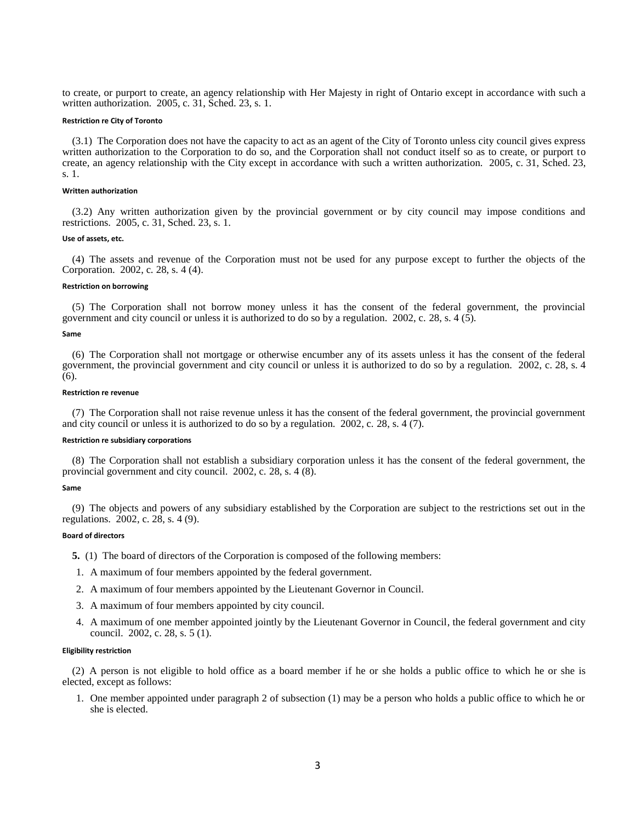to create, or purport to create, an agency relationship with Her Majesty in right of Ontario except in accordance with such a written authorization. 2005, c. 31, Sched. 23, s. 1.

### **Restriction re City of Toronto**

[\(3.1\)](http://www.e-laws.gov.on.ca/html/statutes/french/elaws_statutes_02t28_f.htm#s4s3p1) The Corporation does not have the capacity to act as an agent of the City of Toronto unless city council gives express written authorization to the Corporation to do so, and the Corporation shall not conduct itself so as to create, or purport to create, an agency relationship with the City except in accordance with such a written authorization. 2005, c. 31, Sched. 23, s. 1.

#### **Written authorization**

[\(3.2\)](http://www.e-laws.gov.on.ca/html/statutes/french/elaws_statutes_02t28_f.htm#s4s3p2) Any written authorization given by the provincial government or by city council may impose conditions and restrictions. 2005, c. 31, Sched. 23, s. 1.

## **Use of assets, etc.**

[\(4\)](http://www.e-laws.gov.on.ca/html/statutes/french/elaws_statutes_02t28_f.htm#s4s4) The assets and revenue of the Corporation must not be used for any purpose except to further the objects of the Corporation. 2002, c. 28, s. 4 (4).

### **Restriction on borrowing**

[\(5\)](http://www.e-laws.gov.on.ca/html/statutes/french/elaws_statutes_02t28_f.htm#s4s5) The Corporation shall not borrow money unless it has the consent of the federal government, the provincial government and city council or unless it is authorized to do so by a regulation. 2002, c. 28, s. 4 (5).

### **Same**

[\(6\)](http://www.e-laws.gov.on.ca/html/statutes/french/elaws_statutes_02t28_f.htm#s4s6) The Corporation shall not mortgage or otherwise encumber any of its assets unless it has the consent of the federal government, the provincial government and city council or unless it is authorized to do so by a regulation. 2002, c. 28, s. 4 (6).

### **Restriction re revenue**

[\(7\)](http://www.e-laws.gov.on.ca/html/statutes/french/elaws_statutes_02t28_f.htm#s4s7) The Corporation shall not raise revenue unless it has the consent of the federal government, the provincial government and city council or unless it is authorized to do so by a regulation. 2002, c. 28, s. 4 (7).

### **Restriction re subsidiary corporations**

[\(8\)](http://www.e-laws.gov.on.ca/html/statutes/french/elaws_statutes_02t28_f.htm#s4s8) The Corporation shall not establish a subsidiary corporation unless it has the consent of the federal government, the provincial government and city council. 2002, c. 28, s. 4 (8).

### **Same**

[\(9\)](http://www.e-laws.gov.on.ca/html/statutes/french/elaws_statutes_02t28_f.htm#s4s9) The objects and powers of any subsidiary established by the Corporation are subject to the restrictions set out in the regulations. 2002, c. 28, s. 4 (9).

### **Board of directors**

<span id="page-2-0"></span>**5.** [\(1\)](http://www.e-laws.gov.on.ca/html/statutes/french/elaws_statutes_02t28_f.htm#s5s1) The board of directors of the Corporation is composed of the following members:

- 1. A maximum of four members appointed by the federal government.
- 2. A maximum of four members appointed by the Lieutenant Governor in Council.
- 3. A maximum of four members appointed by city council.
- 4. A maximum of one member appointed jointly by the Lieutenant Governor in Council, the federal government and city council. 2002, c. 28, s. 5 (1).

## **Eligibility restriction**

[\(2\)](http://www.e-laws.gov.on.ca/html/statutes/french/elaws_statutes_02t28_f.htm#s5s2) A person is not eligible to hold office as a board member if he or she holds a public office to which he or she is elected, except as follows:

1. One member appointed under paragraph 2 of subsection (1) may be a person who holds a public office to which he or she is elected.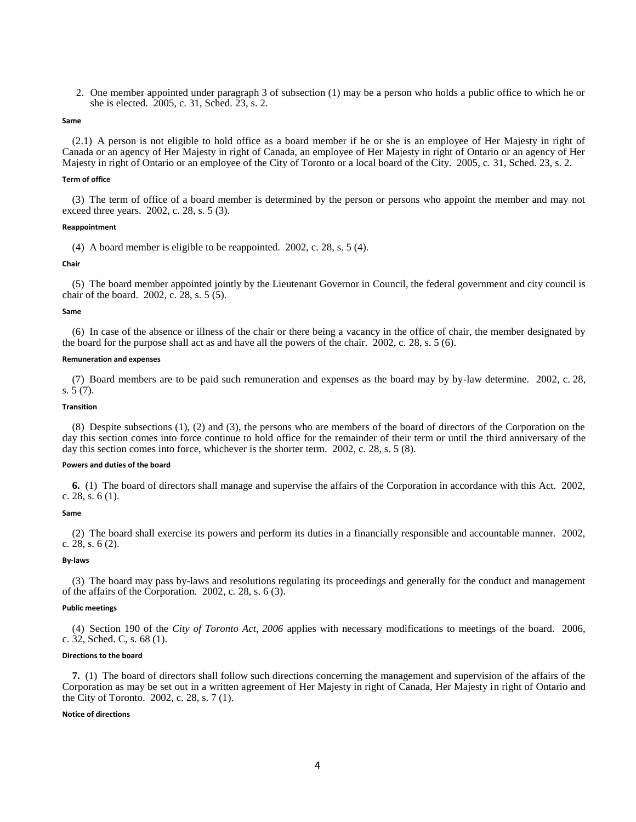2. One member appointed under paragraph 3 of subsection (1) may be a person who holds a public office to which he or she is elected. 2005, c. 31, Sched. 23, s. 2.

## **Same**

[\(2.1\)](http://www.e-laws.gov.on.ca/html/statutes/french/elaws_statutes_02t28_f.htm#s5s2p1) A person is not eligible to hold office as a board member if he or she is an employee of Her Majesty in right of Canada or an agency of Her Majesty in right of Canada, an employee of Her Majesty in right of Ontario or an agency of Her Majesty in right of Ontario or an employee of the City of Toronto or a local board of the City. 2005, c. 31, Sched. 23, s. 2.

## **Term of office**

[\(3\)](http://www.e-laws.gov.on.ca/html/statutes/french/elaws_statutes_02t28_f.htm#s5s3) The term of office of a board member is determined by the person or persons who appoint the member and may not exceed three years. 2002, c. 28, s. 5 (3).

### **Reappointment**

[\(4\)](http://www.e-laws.gov.on.ca/html/statutes/french/elaws_statutes_02t28_f.htm#s5s4) A board member is eligible to be reappointed. 2002, c. 28, s. 5 (4).

### **Chair**

[\(5\)](http://www.e-laws.gov.on.ca/html/statutes/french/elaws_statutes_02t28_f.htm#s5s5) The board member appointed jointly by the Lieutenant Governor in Council, the federal government and city council is chair of the board. 2002, c. 28, s. 5 (5).

### **Same**

[\(6\)](http://www.e-laws.gov.on.ca/html/statutes/french/elaws_statutes_02t28_f.htm#s5s6) In case of the absence or illness of the chair or there being a vacancy in the office of chair, the member designated by the board for the purpose shall act as and have all the powers of the chair. 2002, c. 28, s. 5 (6).

### **Remuneration and expenses**

[\(7\)](http://www.e-laws.gov.on.ca/html/statutes/french/elaws_statutes_02t28_f.htm#s5s7) Board members are to be paid such remuneration and expenses as the board may by by-law determine. 2002, c. 28, s. 5 (7).

### **Transition**

[\(8\)](http://www.e-laws.gov.on.ca/html/statutes/french/elaws_statutes_02t28_f.htm#s5s8) Despite subsections (1), (2) and (3), the persons who are members of the board of directors of the Corporation on the day this section comes into force continue to hold office for the remainder of their term or until the third anniversary of the day this section comes into force, whichever is the shorter term. 2002, c. 28, s. 5 (8).

### **Powers and duties of the board**

<span id="page-3-0"></span>**6.** [\(1\)](http://www.e-laws.gov.on.ca/html/statutes/french/elaws_statutes_02t28_f.htm#s6s1) The board of directors shall manage and supervise the affairs of the Corporation in accordance with this Act. 2002, c. 28, s. 6 (1).

## **Same**

[\(2\)](http://www.e-laws.gov.on.ca/html/statutes/french/elaws_statutes_02t28_f.htm#s6s2) The board shall exercise its powers and perform its duties in a financially responsible and accountable manner. 2002, c. 28, s. 6 (2).

### **By-laws**

[\(3\)](http://www.e-laws.gov.on.ca/html/statutes/french/elaws_statutes_02t28_f.htm#s6s3) The board may pass by-laws and resolutions regulating its proceedings and generally for the conduct and management of the affairs of the Corporation. 2002, c. 28, s. 6 (3).

### **Public meetings**

[\(4\)](http://www.e-laws.gov.on.ca/html/statutes/french/elaws_statutes_02t28_f.htm#s6s4) Section 190 of the *City of Toronto Act, 2006* applies with necessary modifications to meetings of the board. 2006, c. 32, Sched. C, s. 68 (1).

## **Directions to the board**

<span id="page-3-1"></span>**7.** [\(1\)](http://www.e-laws.gov.on.ca/html/statutes/french/elaws_statutes_02t28_f.htm#s7s1) The board of directors shall follow such directions concerning the management and supervision of the affairs of the Corporation as may be set out in a written agreement of Her Majesty in right of Canada, Her Majesty in right of Ontario and the City of Toronto. 2002, c. 28, s. 7 (1).

## **Notice of directions**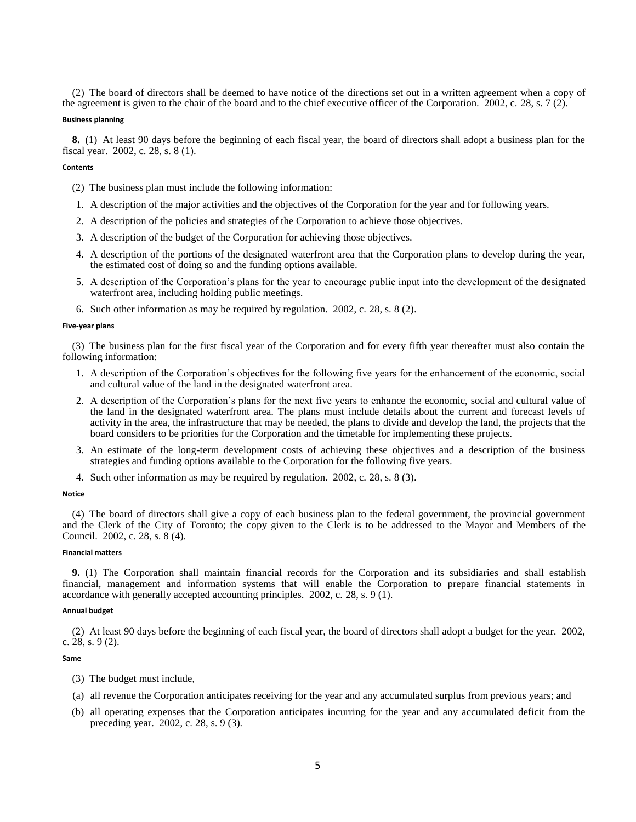[\(2\)](http://www.e-laws.gov.on.ca/html/statutes/french/elaws_statutes_02t28_f.htm#s7s2) The board of directors shall be deemed to have notice of the directions set out in a written agreement when a copy of the agreement is given to the chair of the board and to the chief executive officer of the Corporation. 2002, c. 28, s. 7 (2).

## **Business planning**

<span id="page-4-0"></span>**8.** [\(1\)](http://www.e-laws.gov.on.ca/html/statutes/french/elaws_statutes_02t28_f.htm#s8s1) At least 90 days before the beginning of each fiscal year, the board of directors shall adopt a business plan for the fiscal year. 2002, c. 28, s. 8 (1).

## **Contents**

- [\(2\)](http://www.e-laws.gov.on.ca/html/statutes/french/elaws_statutes_02t28_f.htm#s8s2) The business plan must include the following information:
- 1. A description of the major activities and the objectives of the Corporation for the year and for following years.
- 2. A description of the policies and strategies of the Corporation to achieve those objectives.
- 3. A description of the budget of the Corporation for achieving those objectives.
- 4. A description of the portions of the designated waterfront area that the Corporation plans to develop during the year, the estimated cost of doing so and the funding options available.
- 5. A description of the Corporation's plans for the year to encourage public input into the development of the designated waterfront area, including holding public meetings.
- 6. Such other information as may be required by regulation. 2002, c. 28, s. 8 (2).

## **Five-year plans**

[\(3\)](http://www.e-laws.gov.on.ca/html/statutes/french/elaws_statutes_02t28_f.htm#s8s3) The business plan for the first fiscal year of the Corporation and for every fifth year thereafter must also contain the following information:

- 1. A description of the Corporation's objectives for the following five years for the enhancement of the economic, social and cultural value of the land in the designated waterfront area.
- 2. A description of the Corporation's plans for the next five years to enhance the economic, social and cultural value of the land in the designated waterfront area. The plans must include details about the current and forecast levels of activity in the area, the infrastructure that may be needed, the plans to divide and develop the land, the projects that the board considers to be priorities for the Corporation and the timetable for implementing these projects.
- 3. An estimate of the long-term development costs of achieving these objectives and a description of the business strategies and funding options available to the Corporation for the following five years.
- 4. Such other information as may be required by regulation. 2002, c. 28, s. 8 (3).

## **Notice**

[\(4\)](http://www.e-laws.gov.on.ca/html/statutes/french/elaws_statutes_02t28_f.htm#s8s4) The board of directors shall give a copy of each business plan to the federal government, the provincial government and the Clerk of the City of Toronto; the copy given to the Clerk is to be addressed to the Mayor and Members of the Council. 2002, c. 28, s. 8 (4).

## **Financial matters**

<span id="page-4-1"></span>**9.** [\(1\)](http://www.e-laws.gov.on.ca/html/statutes/french/elaws_statutes_02t28_f.htm#s9s1) The Corporation shall maintain financial records for the Corporation and its subsidiaries and shall establish financial, management and information systems that will enable the Corporation to prepare financial statements in accordance with generally accepted accounting principles. 2002, c. 28, s. 9 (1).

## **Annual budget**

[\(2\)](http://www.e-laws.gov.on.ca/html/statutes/french/elaws_statutes_02t28_f.htm#s9s2) At least 90 days before the beginning of each fiscal year, the board of directors shall adopt a budget for the year. 2002, c. 28, s. 9 (2).

#### **Same**

- [\(3\)](http://www.e-laws.gov.on.ca/html/statutes/french/elaws_statutes_02t28_f.htm#s9s3) The budget must include,
- (a) all revenue the Corporation anticipates receiving for the year and any accumulated surplus from previous years; and
- (b) all operating expenses that the Corporation anticipates incurring for the year and any accumulated deficit from the preceding year. 2002, c. 28, s. 9 (3).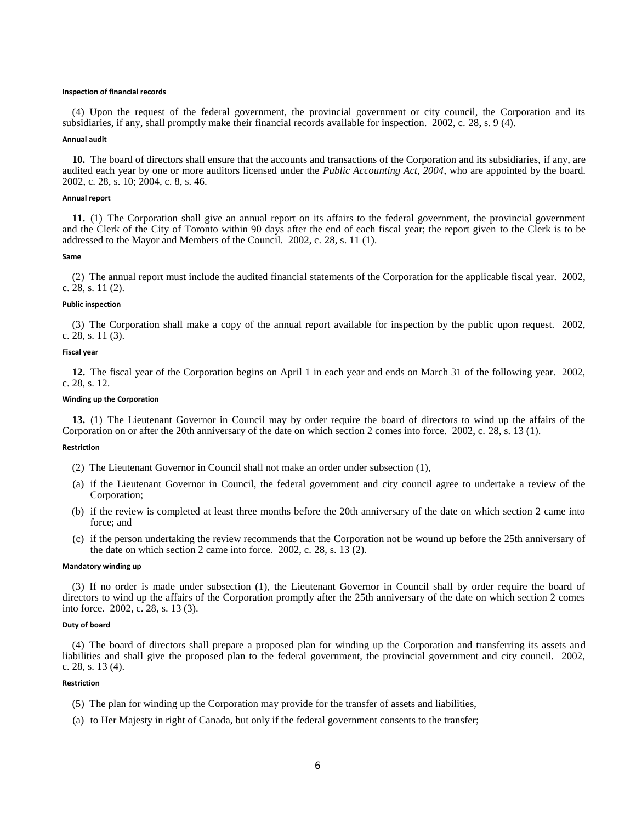#### **Inspection of financial records**

[\(4\)](http://www.e-laws.gov.on.ca/html/statutes/french/elaws_statutes_02t28_f.htm#s9s4) Upon the request of the federal government, the provincial government or city council, the Corporation and its subsidiaries, if any, shall promptly make their financial records available for inspection. 2002, c. 28, s. 9 (4).

### **Annual audit**

<span id="page-5-0"></span>**[10.](http://www.e-laws.gov.on.ca/html/statutes/french/elaws_statutes_02t28_f.htm#s10)** The board of directors shall ensure that the accounts and transactions of the Corporation and its subsidiaries, if any, are audited each year by one or more auditors licensed under the *Public Accounting Act, 2004*, who are appointed by the board. 2002, c. 28, s. 10; 2004, c. 8, s. 46.

### **Annual report**

<span id="page-5-1"></span>**[11.](http://www.e-laws.gov.on.ca/html/statutes/french/elaws_statutes_02t28_f.htm#s11s1)** (1) The Corporation shall give an annual report on its affairs to the federal government, the provincial government and the Clerk of the City of Toronto within 90 days after the end of each fiscal year; the report given to the Clerk is to be addressed to the Mayor and Members of the Council. 2002, c. 28, s. 11 (1).

### **Same**

[\(2\)](http://www.e-laws.gov.on.ca/html/statutes/french/elaws_statutes_02t28_f.htm#s11s2) The annual report must include the audited financial statements of the Corporation for the applicable fiscal year. 2002, c. 28, s. 11 (2).

### **Public inspection**

[\(3\)](http://www.e-laws.gov.on.ca/html/statutes/french/elaws_statutes_02t28_f.htm#s11s3) The Corporation shall make a copy of the annual report available for inspection by the public upon request. 2002, c. 28, s. 11 (3).

## **Fiscal year**

<span id="page-5-2"></span>**[12.](http://www.e-laws.gov.on.ca/html/statutes/french/elaws_statutes_02t28_f.htm#s12)** The fiscal year of the Corporation begins on April 1 in each year and ends on March 31 of the following year. 2002, c. 28, s. 12.

### **Winding up the Corporation**

<span id="page-5-3"></span>**[13.](http://www.e-laws.gov.on.ca/html/statutes/french/elaws_statutes_02t28_f.htm#s13s1)** (1) The Lieutenant Governor in Council may by order require the board of directors to wind up the affairs of the Corporation on or after the 20th anniversary of the date on which section 2 comes into force. 2002, c. 28, s. 13 (1).

## **Restriction**

- [\(2\)](http://www.e-laws.gov.on.ca/html/statutes/french/elaws_statutes_02t28_f.htm#s13s2) The Lieutenant Governor in Council shall not make an order under subsection (1),
- (a) if the Lieutenant Governor in Council, the federal government and city council agree to undertake a review of the Corporation;
- (b) if the review is completed at least three months before the 20th anniversary of the date on which section 2 came into force; and
- (c) if the person undertaking the review recommends that the Corporation not be wound up before the 25th anniversary of the date on which section 2 came into force. 2002, c. 28, s. 13 (2).

#### **Mandatory winding up**

[\(3\)](http://www.e-laws.gov.on.ca/html/statutes/french/elaws_statutes_02t28_f.htm#s13s3) If no order is made under subsection (1), the Lieutenant Governor in Council shall by order require the board of directors to wind up the affairs of the Corporation promptly after the 25th anniversary of the date on which section 2 comes into force. 2002, c. 28, s. 13 (3).

## **Duty of board**

[\(4\)](http://www.e-laws.gov.on.ca/html/statutes/french/elaws_statutes_02t28_f.htm#s13s4) The board of directors shall prepare a proposed plan for winding up the Corporation and transferring its assets and liabilities and shall give the proposed plan to the federal government, the provincial government and city council. 2002, c. 28, s. 13 (4).

### **Restriction**

- [\(5\)](http://www.e-laws.gov.on.ca/html/statutes/french/elaws_statutes_02t28_f.htm#s13s5) The plan for winding up the Corporation may provide for the transfer of assets and liabilities,
- (a) to Her Majesty in right of Canada, but only if the federal government consents to the transfer;